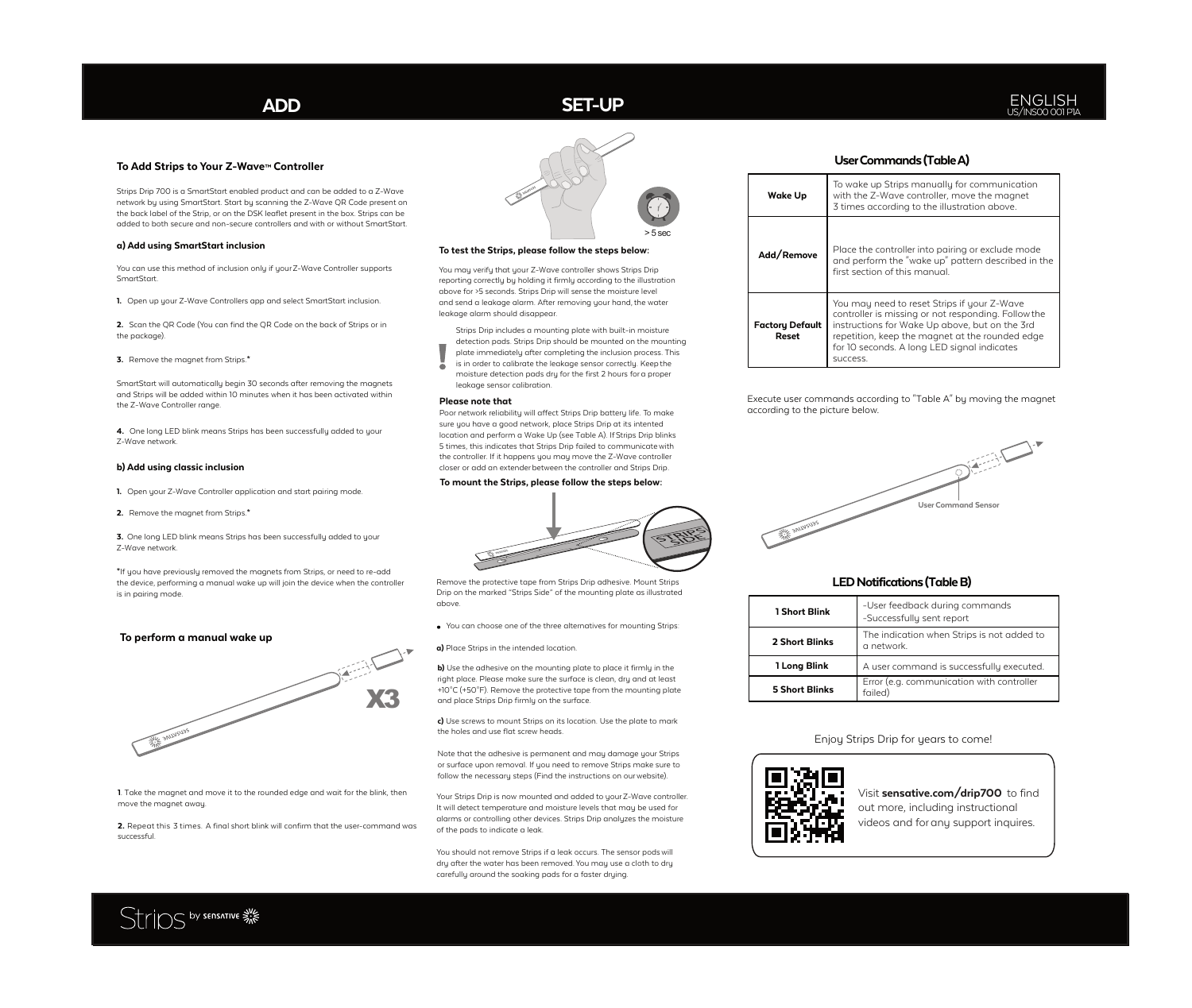### **To Add Strips to Your Z-Wave™ Controller**

Strips Drip 700 is a SmartStart enabled product and can be added to a Z-Wave network by using SmartStart. Start by scanning the Z-Wave QR Code present on the back label of the Strip, or on the DSK leaflet present in the box. Strips can be added to both secure and non-secure controllers and with or without SmartStart.

#### **a) Add using SmartStart inclusion**

You can use this method of inclusion only if your Z-Wave Controller supports SmartStart.

**1.** Open up your Z-Wave Controllers app and select SmartStart inclusion.

**2.** Scan the QR Code (You can find the QR Code on the back of Strips or in the package).

**3.** Remove the magnet from Strips.**\***

SmartStart will automatically begin 30 seconds after removing the magnets and Strips will be added within 10 minutes when it has been activated within the Z-Wave Controller range.

**4.** One long LED blink means Strips has been successfully added to your Z-Wave network.

#### **b) Add using classic inclusion**

- **1.** Open your Z-Wave Controller application and start pairing mode.
- **2.** Remove the magnet from Strips.**\***

**3.** One long LED blink means Strips has been successfully added to your Z-Wave network.

**\***If you have previously removed the magnets from Strips, or need to re-add the device, performing a manual wake up will join the device when the controller is in pairing mode.

#### **To perform a manual wake up**



**1**. Take the magnet and move it to the rounded edge and wait for the blink, then move the magnet away.

**2.** Repeat this 3 times. A final short blink will confirm that the user-command was successful.



#### **To test the Strips, please follow the steps below:**

You may verify that your Z-Wave controller shows Strips Drip reporting correctly by holding it firmly according to the illustration above for >5 seconds. Strips Drip will sense the moisture level and send a leakage alarm. After removing your hand, the water leakage alarm should disappear.

Strips Drip includes a mounting plate with built-in moisture detection pads. Strips Drip should be mounted on the mounting plate immediately after completing the inclusion process. This

- is in order to calibrate the leakage sensor correctly. Keep the moisture detection pads dry for the first 2 hours for a proper
- leakage sensor calibration.

#### **Please note that**

Poor network reliability will affect Strips Drip battery life. To make sure you have a good network, place Strips Drip at its intented location and perform a Wake Up (see Table A). If Strips Drip blinks 5 times, this indicates that Strips Drip failed to communicate with the controller. If it happens you may move the Z-Wave controller closer or add an extenderbetween the controller and Strips Drip.

#### **To mount the Strips, please follow the steps below:**



Remove the protective tape from Strips Drip adhesive. Mount Strips Drip on the marked "Strips Side" of the mounting plate as illustrated

**b)** Use the adhesive on the mounting plate to place it firmly in the right place. Please make sure the surface is clean, dry and at least +10°C (+50°F). Remove the protective tape from the mounting plate and place Strips Drip firmly on the surface.

**c)** Use screws to mount Strips on its location. Use the plate to mark the holes and use flat screw heads.

Note that the adhesive is permanent and may damage your Strips or surface upon removal. If you need to remove Strips make sure to follow the necessary steps (Find the instructions on ourwebsite).

Your Strips Drip is now mounted and added to yourZ-Wave controller. It will detect temperature and moisture levels that may be used for alarms or controlling other devices. Strips Drip analyzes the moisture of the pads to indicate a leak.

You should not remove Strips if a leak occurs. The sensor podswill dry after the water has been removed.You may use a cloth to dry carefully around the soaking pads for a faster drying.

# **UserCommands(TableA)**

| <b>Wake Up</b>                  | To wake up Strips manually for communication<br>with the Z-Wave controller, move the maanet<br>3 times according to the illustration above.                                                                                                                       |  |  |  |
|---------------------------------|-------------------------------------------------------------------------------------------------------------------------------------------------------------------------------------------------------------------------------------------------------------------|--|--|--|
| Add/Remove                      | Place the controller into pairing or exclude mode<br>and perform the "wake up" pattern described in the<br>first section of this manual.                                                                                                                          |  |  |  |
| <b>Factory Default</b><br>Reset | You may need to reset Strips if your Z-Wave<br>controller is missing or not responding. Follow the<br>instructions for Wake Up above, but on the 3rd<br>repetition, keep the magnet at the rounded edge<br>for 10 seconds. A long LED signal indicates<br>SUCCess |  |  |  |

Execute user commands according to "Table A" by moving the magnet according to the picture below.



## **LEDNotifications(TableB)**

| 1 Short Blink         | -User feedback during commands<br>-Successfully sent report |
|-----------------------|-------------------------------------------------------------|
| 2 Short Blinks        | The indication when Strips is not added to<br>a network.    |
| 1 Long Blink          | A user command is successfully executed.                    |
| <b>5 Short Blinks</b> | Error (e.g. communication with controller<br>failed)        |

Enjoy Strips Drip for years to come!





Visit **sensative.com/drip700** to find out more, including instructional videos and for any support inquires.



above.

You can choose one of the three alternatives for mounting Strips:

**a)** Place Strips in the intended location.